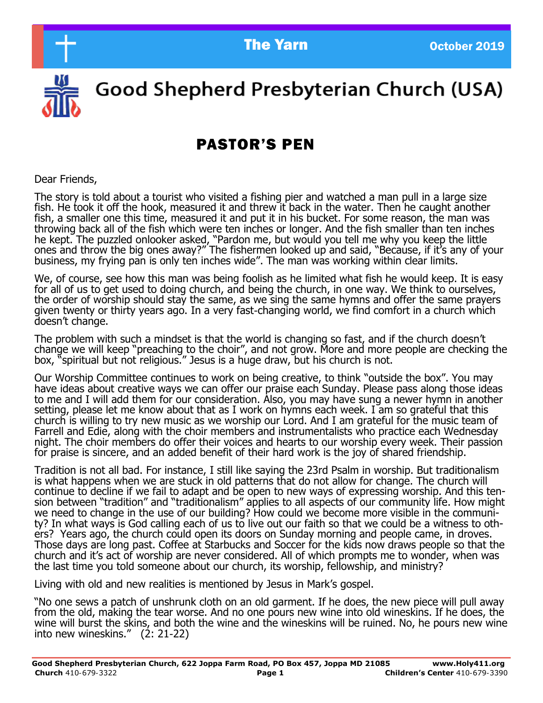

Good Shepherd Presbyterian Church (USA)

# PASTOR'S PEN

Dear Friends,

The story is told about a tourist who visited a fishing pier and watched a man pull in a large size fish. He took it off the hook, measured it and threw it back in the water. Then he caught another fish, a smaller one this time, measured it and put it in his bucket. For some reason, the man was throwing back all of the fish which were ten inches or longer. And the fish smaller than ten inches he kept. The puzzled onlooker asked, "Pardon me, but would you tell me why you keep the little ones and throw the big ones away?" The fishermen looked up and said, "Because, if it's any of your business, my frying pan is only ten inches wide". The man was working within clear limits.

We, of course, see how this man was being foolish as he limited what fish he would keep. It is easy for all of us to get used to doing church, and being the church, in one way. We think to ourselves, the order of worship should stay the same, as we sing the same hymns and offer the same prayers given twenty or thirty years ago. In a very fast-changing world, we find comfort in a church which doesn't change.

The problem with such a mindset is that the world is changing so fast, and if the church doesn't change we will keep "preaching to the choir", and not grow. More and more people are checking the box, "spiritual but not religious." Jesus is a huge draw, but his church is not.

Our Worship Committee continues to work on being creative, to think "outside the box". You may have ideas about creative ways we can offer our praise each Sunday. Please pass along those ideas to me and I will add them for our consideration. Also, you may have sung a newer hymn in another setting, please let me know about that as I work on hymns each week. I am so grateful that this church is willing to try new music as we worship our Lord. And I am grateful for the music team of Farrell and Edie, along with the choir members and instrumentalists who practice each Wednesday night. The choir members do offer their voices and hearts to our worship every week. Their passion for praise is sincere, and an added benefit of their hard work is the joy of shared friendship.

Tradition is not all bad. For instance, I still like saying the 23rd Psalm in worship. But traditionalism is what happens when we are stuck in old patterns that do not allow for change. The church will continue to decline if we fail to adapt and be open to new ways of expressing worship. And this tension between "tradition" and "traditionalism" applies to all aspects of our community life. How might we need to change in the use of our building? How could we become more visible in the community? In what ways is God calling each of us to live out our faith so that we could be a witness to others? Years ago, the church could open its doors on Sunday morning and people came, in droves. Those days are long past. Coffee at Starbucks and Soccer for the kids now draws people so that the church and it's act of worship are never considered. All of which prompts me to wonder, when was the last time you told someone about our church, its worship, fellowship, and ministry?

Living with old and new realities is mentioned by Jesus in Mark's gospel.

"No one sews a patch of unshrunk cloth on an old garment. If he does, the new piece will pull away from the old, making the tear worse. And no one pours new wine into old wineskins. If he does, the wine will burst the skins, and both the wine and the wineskins will be ruined. No, he pours new wine into new wineskins." (2: 21-22)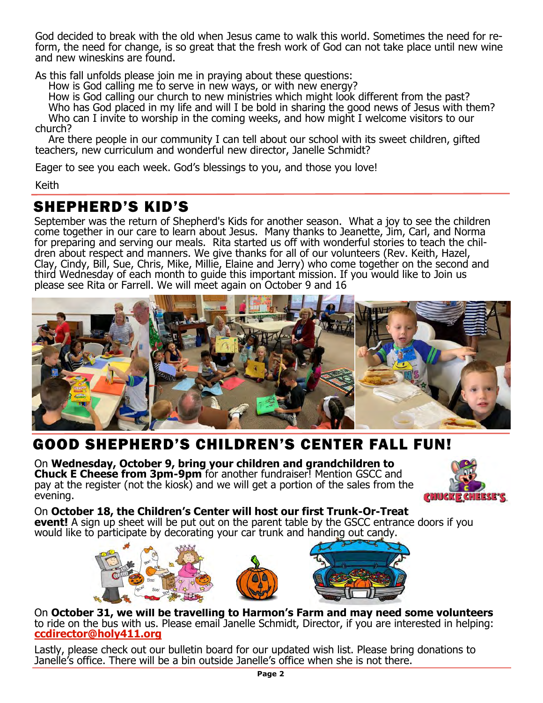form, the need for change, is so great that the fresh work of God can not take place until new wine God decided to break with the old when Jesus came to walk this world. Sometimes the need for reand new wineskins are found.

As this fall unfolds please join me in praying about these questions:

How is God calling me to serve in new ways, or with new energy?

 How is God calling our church to new ministries which might look different from the past? Who has God placed in my life and will I be bold in sharing the good news of Jesus with them? Who can I invite to worship in the coming weeks, and how might I welcome visitors to our church?

 Are there people in our community I can tell about our school with its sweet children, gifted teachers, new curriculum and wonderful new director, Janelle Schmidt?

Eager to see you each week. God's blessings to you, and those you love!

Keith

### SHEPHERD'S KID'S

September was the return of Shepherd's Kids for another season. What a joy to see the children come together in our care to learn about Jesus. Many thanks to Jeanette, Jim, Carl, and Norma for preparing and serving our meals. Rita started us off with wonderful stories to teach the children about respect and manners. We give thanks for all of our volunteers (Rev. Keith, Hazel, Clay, Cindy, Bill, Sue, Chris, Mike, Millie, Elaine and Jerry) who come together on the second and third Wednesday of each month to guide this important mission. If you would like to Join us please see Rita or Farrell. We will meet again on October 9 and 16



## GOOD SHEPHERD'S CHILDREN'S CENTER FALL FUN!

On **Wednesday, October 9, bring your children and grandchildren to Chuck E Cheese from 3pm-9pm** for another fundraiser! Mention GSCC and pay at the register (not the kiosk) and we will get a portion of the sales from the evening.



On **October 18, the Children's Center will host our first Trunk-Or-Treat event!** A sign up sheet will be put out on the parent table by the GSCC entrance doors if you would like to participate by decorating your car trunk and handing out candy.



On **October 31, we will be travelling to Harmon's Farm and may need some volunteers**  to ride on the bus with us. Please email Janelle Schmidt, Director, if you are interested in helping: **[ccdirector@holy411.org](mailto:ccdirector@holy411.org)**

Lastly, please check out our bulletin board for our updated wish list. Please bring donations to Janelle's office. There will be a bin outside Janelle's office when she is not there.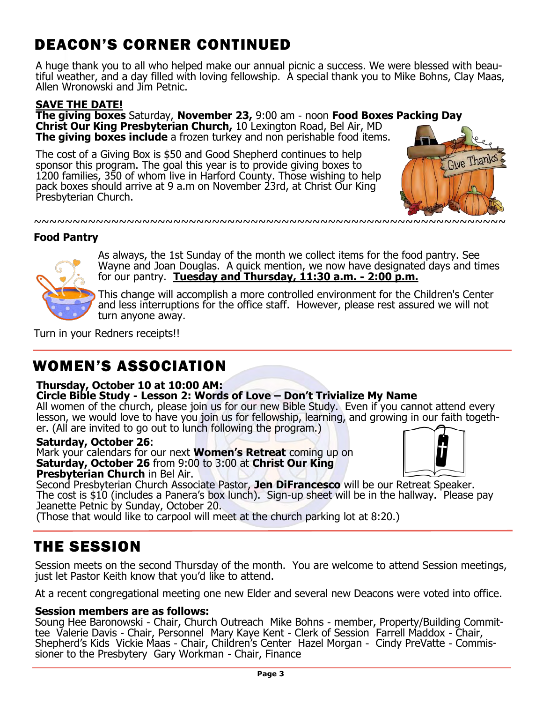# DEACON'S CORNER CONTINUED

A huge thank you to all who helped make our annual picnic a success. We were blessed with beautiful weather, and a day filled with loving fellowship. A special thank you to Mike Bohns, Clay Maas, Allen Wronowski and Jim Petnic.

### **SAVE THE DATE!**

**The giving boxes** Saturday, **November 23,** 9:00 am - noon **Food Boxes Packing Day Christ Our King Presbyterian Church,** 10 Lexington Road, Bel Air, MD **The giving boxes include** a frozen turkey and non perishable food items.

The cost of a Giving Box is \$50 and Good Shepherd continues to help sponsor this program. The goal this year is to provide giving boxes to 1200 families, 350 of whom live in Harford County. Those wishing to help pack boxes should arrive at 9 a.m on November 23rd, at Christ Our King Presbyterian Church.



### **Food Pantry**



As always, the 1st Sunday of the month we collect items for the food pantry. See Wayne and Joan Douglas. A quick mention, we now have designated days and times for our pantry. **Tuesday and Thursday, 11:30 a.m. - 2:00 p.m.**

This change will accomplish a more controlled environment for the Children's Center and less interruptions for the office staff. However, please rest assured we will not turn anyone away.

Turn in your Redners receipts!!

## WOMEN'S ASSOCIATION

### **Thursday, October 10 at 10:00 AM:**

#### **Circle Bible Study - Lesson 2: Words of Love – Don't Trivialize My Name**

All women of the church, please join us for our new Bible Study. Even if you cannot attend every lesson, we would love to have you join us for fellowship, learning, and growing in our faith together. (All are invited to go out to lunch following the program.)

#### **Saturday, October 26**:

Mark your calendars for our next **Women's Retreat** coming up on **Saturday, October 26** from 9:00 to 3:00 at **Christ Our King Presbyterian Church** in Bel Air.



Second Presbyterian Church Associate Pastor, **Jen DiFrancesco** will be our Retreat Speaker. The cost is \$10 (includes a Panera's box lunch). Sign-up sheet will be in the hallway. Please pay Jeanette Petnic by Sunday, October 20.

(Those that would like to carpool will meet at the church parking lot at 8:20.)

### THE SESSION

Session meets on the second Thursday of the month. You are welcome to attend Session meetings, just let Pastor Keith know that you'd like to attend.

At a recent congregational meeting one new Elder and several new Deacons were voted into office.

#### **Session members are as follows:**

Soung Hee Baronowski - Chair, Church Outreach Mike Bohns - member, Property/Building Committee Valerie Davis - Chair, Personnel Mary Kaye Kent - Clerk of Session Farrell Maddox - Chair, Shepherd's Kids Vickie Maas - Chair, Children's Center Hazel Morgan - Cindy PreVatte - Commissioner to the Presbytery Gary Workman - Chair, Finance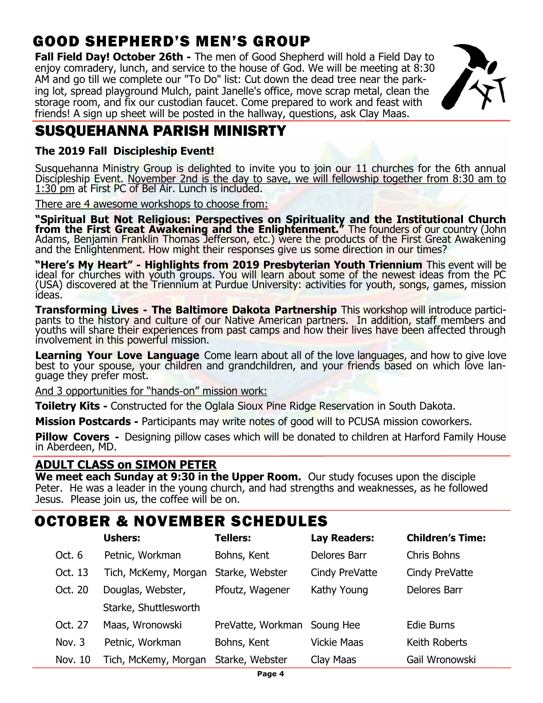# GOOD SHEPHERD'S MEN'S GROUP

**Fall Field Day! October 26th** - The men of Good Shepherd will hold a Field Day to enjoy comradery, lunch, and service to the house of God. We will be meeting at 8:30 AM and go till we complete our "To Do" list: Cut down the dead tree near the parking lot, spread playground Mulch, paint Janelle's office, move scrap metal, clean the storage room, and fix our custodian faucet. Come prepared to work and feast with friends! A sign up sheet will be posted in the hallway, questions, ask Clay Maas.



## SUSQUEHANNA PARISH MINISRTY

### **The 2019 Fall Discipleship Event!**

Susquehanna Ministry Group is delighted to invite you to join our 11 churches for the 6th annual Discipleship Event. November 2nd is the day to save, we will fellowship together from 8:30 am to 1:30 pm at First PC of Bel Air. Lunch is included.

There are 4 awesome workshops to choose from:

**"Spiritual But Not Religious: Perspectives on Spirituality and the Institutional Church from the First Great Awakening and the Enlightenment."** The founders of our country (John Adams, Benjamin Franklin Thomas Jefferson, etc.) were the products of the First Great Awakening and the Enlightenment. How might their responses give us some direction in our times?

**"Here's My Heart" - Highlights from 2019 Presbyterian Youth Triennium** This event will be ideal for churches with youth groups. You will learn about some of the newest ideas from the PC (USA) discovered at the Triennium at Purdue University: activities for youth, songs, games, mission ideas.

**Transforming Lives - The Baltimore Dakota Partnership** This workshop will introduce participants to the history and culture of our Native American partners. In addition, staff members and youths will share their experiences from past camps and how their lives have been affected through involvement in this powerful mission.

**Learning Your Love Language** Come learn about all of the love languages, and how to give love best to your spouse, your children and grandchildren, and your friends based on which love language they prefer most.

And 3 opportunities for "hands-on" mission work:

**Toiletry Kits** - Constructed for the Oglala Sioux Pine Ridge Reservation in South Dakota.

**Mission Postcards -** Participants may write notes of good will to PCUSA mission coworkers.

**Pillow Covers** - Designing pillow cases which will be donated to children at Harford Family House in Aberdeen, MD.

### **ADULT CLASS on SIMON PETER**

**We meet each Sunday at 9:30 in the Upper Room.** Our study focuses upon the disciple Peter. He was a leader in the young church, and had strengths and weaknesses, as he followed Jesus. Please join us, the coffee will be on.

## OCTOBER & NOVEMBER SCHEDULES

|         | <b>Ushers:</b>        | <b>Tellers:</b>             | <b>Lay Readers:</b> | <b>Children's Time:</b> |
|---------|-----------------------|-----------------------------|---------------------|-------------------------|
| Oct. 6  | Petnic, Workman       | Bohns, Kent                 | Delores Barr        | <b>Chris Bohns</b>      |
| Oct. 13 | Tich, McKemy, Morgan  | Starke, Webster             | Cindy PreVatte      | Cindy PreVatte          |
| Oct. 20 | Douglas, Webster,     | Pfoutz, Wagener             | Kathy Young         | Delores Barr            |
|         | Starke, Shuttlesworth |                             |                     |                         |
| Oct. 27 | Maas, Wronowski       | PreVatte, Workman Soung Hee |                     | Edie Burns              |
| Nov. 3  | Petnic, Workman       | Bohns, Kent                 | <b>Vickie Maas</b>  | Keith Roberts           |
| Nov. 10 | Tich, McKemy, Morgan  | Starke, Webster             | Clay Maas           | Gail Wronowski          |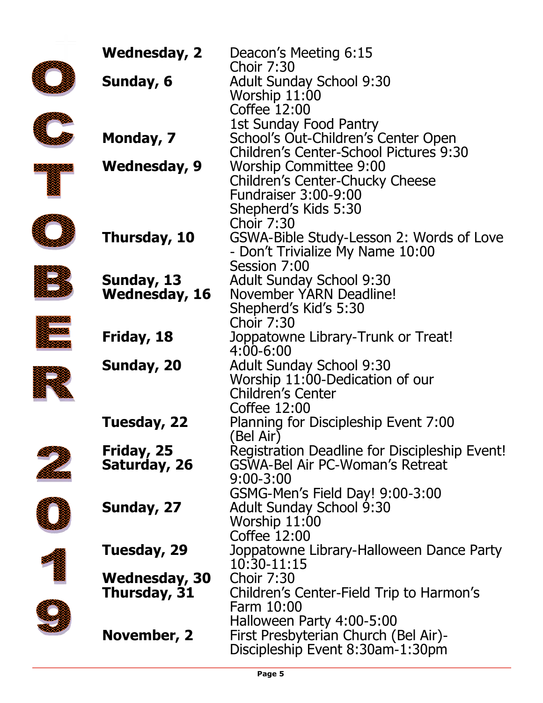| <b>Wednesday, 2</b>  | Deacon's Meeting 6:15                                                                |
|----------------------|--------------------------------------------------------------------------------------|
| Sunday, 6            | <b>Choir 7:30</b><br><b>Adult Sunday School 9:30</b>                                 |
|                      | Worship 11:00<br>Coffee 12:00                                                        |
|                      | <b>1st Sunday Food Pantry</b>                                                        |
| Monday, 7            | School's Out-Children's Center Open<br><b>Children's Center-School Pictures 9:30</b> |
| Wednesday, 9         | <b>Worship Committee 9:00</b>                                                        |
|                      | Children's Center-Chucky Cheese                                                      |
|                      | <b>Fundraiser 3:00-9:00</b><br>Shepherd's Kids 5:30                                  |
|                      | <b>Choir 7:30</b>                                                                    |
| Thursday, 10         | GSWA-Bible Study-Lesson 2: Words of Love<br>- Don't Trivialize My Name 10:00         |
|                      | Session 7:00                                                                         |
| Sunday, 13           | <b>Adult Sunday School 9:30</b>                                                      |
| Wednesday, 16        | November YARN Deadline!                                                              |
|                      | Shepherd's Kid's 5:30                                                                |
|                      | <b>Choir 7:30</b>                                                                    |
| Friday, 18           | Joppatowne Library-Trunk or Treat!<br>4:00-6:00                                      |
| Sunday, 20           | <b>Adult Sunday School 9:30</b>                                                      |
|                      | Worship 11:00-Dedication of our                                                      |
|                      | <b>Children's Center</b>                                                             |
|                      | Coffee 12:00                                                                         |
| Tuesday, 22          | Planning for Discipleship Event 7:00                                                 |
|                      | (Bel Air)                                                                            |
| Friday, 25           | Registration Deadline for Discipleship Event!                                        |
| Saturday, 26         | <b>GSWA-Bel Air PC-Woman's Retreat</b><br>$9:00 - 3:00$                              |
|                      | GSMG-Men's Field Day! 9:00-3:00                                                      |
| Sunday, 27           | <b>Adult Sunday School 9:30</b>                                                      |
|                      | Worship 11:00                                                                        |
|                      | Coffee 12:00                                                                         |
| Tuesday, 29          | Joppatowne Library-Halloween Dance Party                                             |
|                      | 10:30-11:15                                                                          |
| <b>Wednesday, 30</b> | <b>Choir 7:30</b>                                                                    |
| Thursday, 31         | Children's Center-Field Trip to Harmon's                                             |
|                      | Farm 10:00                                                                           |
| November, 2          | Halloween Party 4:00-5:00<br>First Presbyterian Church (Bel Air)-                    |
|                      | Discipleship Event 8:30am-1:30pm                                                     |
|                      |                                                                                      |